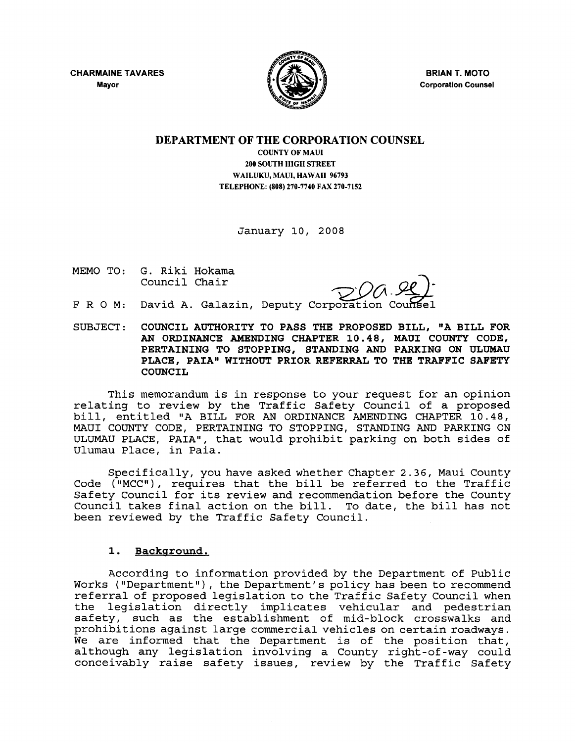CHARMAINE TAVARES Mayor



BRIAN T. MOTO Corporation Counsel

# DEPARTMENT OF THE CORPORATION COUNSEL

COUNTY OF MAUl 200 SOUTH HIGH STREET WAILUKU, MAUl, HAWAll 96793 TELEPHONE: (808) 270-7740 FAX 270-7152

January 10, 2008

MEMO TO: G. Riki Hokama Council Chair

 $\bigcirc$ Oa.ge)

F R O M: David A. Galazin, Deputy Corporation Counsel

SUBJECT: COUNCIL AUTHORITY TO PASS THE PROPOSED BILL, "A BILL FOR AN ORDINANCE AMENDING CHAPTER 10.48, MAUI COUNTY CODE, PERTAINING TO STOPPING, STANDING AND PARKING ON ULUMAU PLACE, PAIA" WITHOUT PRIOR REFERRAL TO THE TRAFFIC SAFETY COUNCIL

This memorandum is in response to your request for an opinion relating to review by the Traffic Safety Council of <sup>a</sup> proposed bill, entitled "A BILL FOR AN ORDINANCE AMENDING CHAPTER 10.48, MAUI COUNTY CODE, PERTAINING TO STOPPING, STANDING AND PARKING ON ULUMAU PLACE, PAIA", that would prohibit parking on both sides of Ulumau Place, in Paia.

Specifically, you have asked whether Chapter 2.36, Maui County Code ("MCC"), requires that the bill be referred to the Traffic Safety Council for its review and recommendation before the County Council takes final action on the bill. To date, the bill has not been reviewed by the Traffic Safety Council.

#### 1. Background.

According to information provided by the Department of Public Works ("Department"), the Department's policy has been to recommend referral of proposed legislation to the Traffic Safety Council when the legislation directly implicates vehicular and pedestrian safety, such as the establishment of mid-block crosswalks and prohibitions against large commercial vehicles on certain roadways. We are informed that the Department is of the position that, although any legislation involving <sup>a</sup> County right-of-way could conceivably raise safety issues, review by the Traffic Safety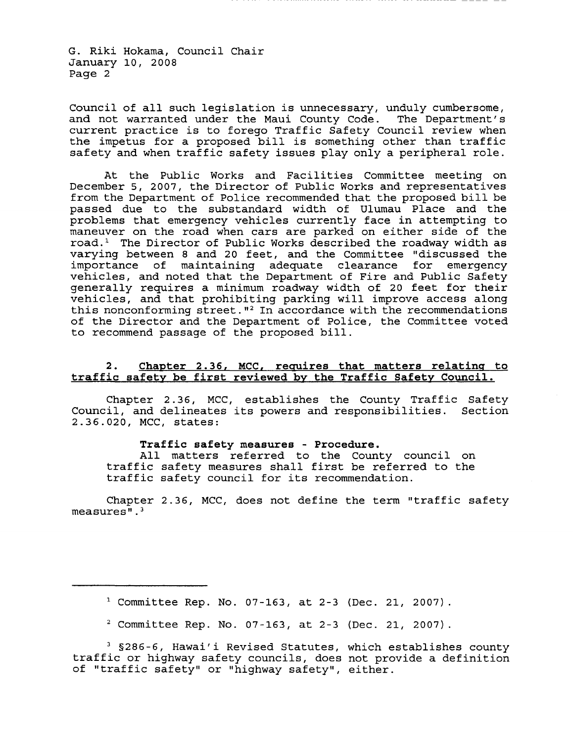G. Riki Hokama, Council Chair January 10, 2008 Page 2

Council of all such legislation is unnecessary, unduly cumbersome,<br>and not warranted under the Maui County Code. The Department's and not warranted under the Maui County Code. current practice is to forego Traffic Safety Council review when the impetus for <sup>a</sup> proposed bill is something other than traffic safety and when traffic safety issues play only <sup>a</sup> peripheral role.

At the Public Works and Facilities Committee meeting on December 5, 2007, the Director of Public Works and representatives from the Department of Police recommended that the proposed bill be passed due to the substandard width of Ulumau Place and the problems that emergency vehicles currently face in attempting to maneuver on the road when cars are parked on either side of the road.<sup>1</sup> The Director of Public Works described the roadway width as varying between 8 and 20 feet, and the Committee "discussed the importance of maintaining adequate clearance for emergency vehicles, and noted that the Department of Fire and Public Safety generally requires <sup>a</sup> minimum roadway width of <sup>20</sup> feet for their vehicles, and that prohibiting parking will improve access along this nonconforming street.  $"$ <sup>2</sup> In accordance with the recommendations of the Director and the Department of Police, the Committee voted to recommend passage of the proposed bill.

## 2. **Chapter 2.36, MCC, reauires that matters relating to traffic safety be first reviewed by the Traffic Safety Council.**

Chapter 2.36, MCC, establishes the County Traffic Safety Council, and delineates its powers and responsibilities. Section 2.36.020, MCC, states:

#### **Traffic safety measures - Procedure.**

All matters referred to the County council on traffic safety measures shall first be referred to the traffic safety council for its recommendation.

Chapter 2.36, MCC, does not define the term "traffic safety measures" . <sup>3</sup>

- $1$  Committee Rep. No. 07-163, at 2-3 (Dec. 21, 2007).
- <sup>2</sup> Committee Rep. No. 07-163, at 2-3 (Dec. 21, 2007).

<sup>3</sup> §286-6, Hawai'i Revised Statutes, which establishes county traffic or highway safety councils, does not provide <sup>a</sup> definition of "traffic safety" or "highway safety", either.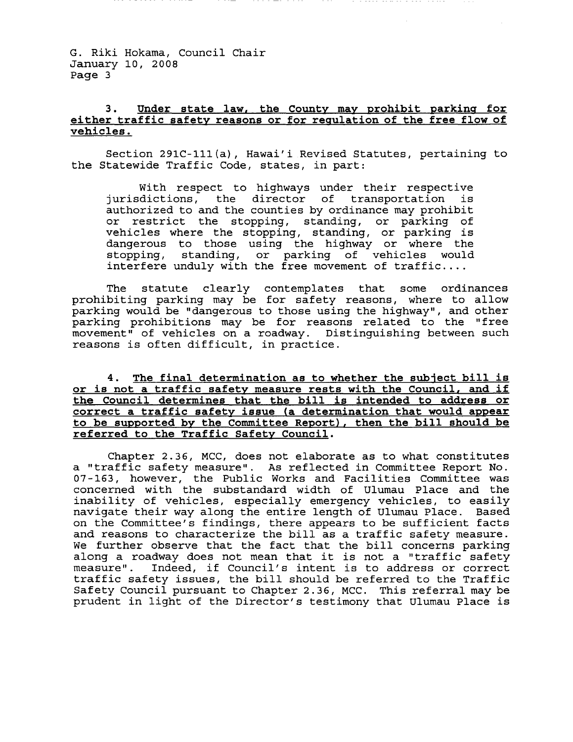G. Riki Hokama, Council Chair January 10, 2008 Page 3

## **3. Under state law, the County may prohibit parking for either traffic safety reasons or for regulation of the free flow of vehicles.**

Section 291C-111(a) , Hawai'i Revised Statutes, pertaining to the Statewide Traffic Code, states, in part:

With respect to highways under their respective<br>jurisdictions, the director of transportation is director of transportation authorized to and the counties by ordinance may prohibit addingtrace to and the countres by cremance may promibite<br>or restrict the stopping, standing, or parking of vehicles where the stopping, standing, or parking is<br>vehicles where the stopping, standing, or parking is dangerous to those using the highway or where the stopping, standing, or parking of vehicles would interfere unduly with the free movement of traffic....

The statute clearly contemplates that some ordinances prohibiting parking may be for safety reasons, where to allow parking would be "dangerous to those using the highway", and other parking prohibitions may be for reasons related to the "free movement" of vehicles on a roadway. Distinguishing between such reasons is often difficult, in practice.

**4. The final determination as to whether the subject bill is or is not <sup>a</sup> traffic safety measure rests with the Council, and if the Council determines that the bill is intended to address or correct <sup>a</sup> traffic safety issue (a determination that would appear to be supported by the Committee Report), then the bill should be referred to the Traffic Safety Council.**

Chapter 2.36, MCC, does not elaborate as to what constitutes <sup>a</sup> "traffic safety measure". As reflected in Committee Report No. <sup>07</sup> -163, however, the Public Works and Facilities Committee was concerned with the substandard width of Ulumau Place and the inability of vehicles, especially emergency vehicles, to easily navigate their way along the entire length of Ulumau Place. Based on the Committee'S findings, there appears to be sufficient facts and reasons to characterize the bill as <sup>a</sup> traffic safety measure. We further observe that the fact that the bill concerns parking along <sup>a</sup> roadway does not mean that it is not <sup>a</sup> "traffic safety Indeed, if Council's intent is to address or correct traffic safety issues, the bill should be referred to the Traffic Safety Council pursuant to Chapter 2.36, MCC. This referral may be prudent in light of the Director's testimony that Ulumau Place is